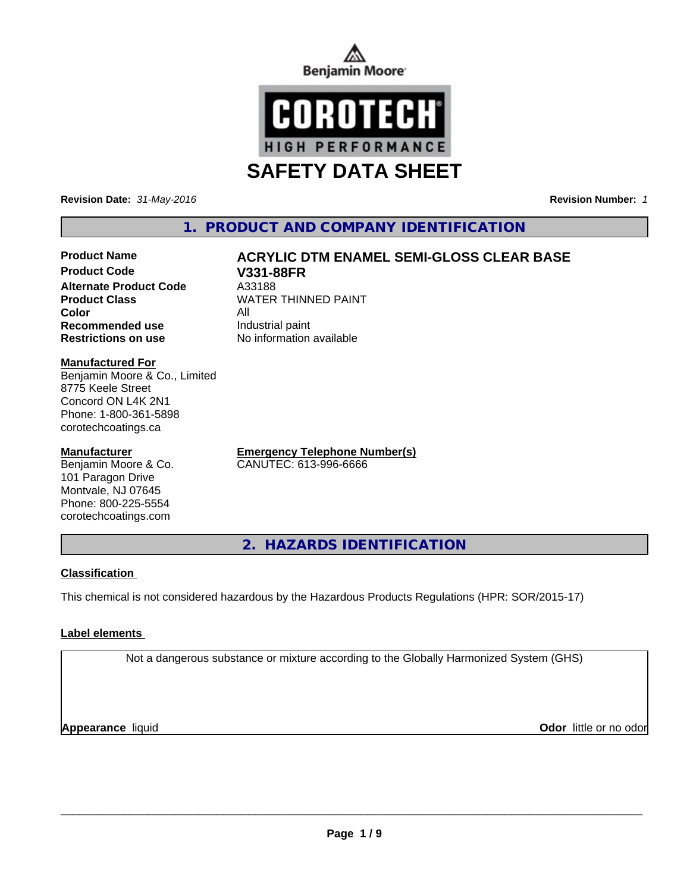



**Revision Date:** *31-May-2016* **Revision Number:** *1*

## **1. PRODUCT AND COMPANY IDENTIFICATION**

# **Product Name ACRYLIC DTM ENAMEL SEMI-GLOSS CLEAR BASE**

**Product Code V331-88FR Alternate Product Code** A33188<br> **Product Class** MATER **Color** All **Recommended use** Industrial paint **Restrictions on use** No information available

**WATER THINNED PAINT** 

#### **Manufactured For**

Benjamin Moore & Co., Limited 8775 Keele Street Concord ON L4K 2N1 Phone: 1-800-361-5898 corotechcoatings.ca

#### **Manufacturer**

Benjamin Moore & Co. 101 Paragon Drive Montvale, NJ 07645 Phone: 800-225-5554 corotechcoatings.com

**Emergency Telephone Number(s)** CANUTEC: 613-996-6666

**2. HAZARDS IDENTIFICATION**

#### **Classification**

This chemical is not considered hazardous by the Hazardous Products Regulations (HPR: SOR/2015-17)

#### **Label elements**

Not a dangerous substance or mixture according to the Globally Harmonized System (GHS)

**Appearance** liquid

**Odor** little or no odor

 $\overline{\phantom{a}}$  ,  $\overline{\phantom{a}}$  ,  $\overline{\phantom{a}}$  ,  $\overline{\phantom{a}}$  ,  $\overline{\phantom{a}}$  ,  $\overline{\phantom{a}}$  ,  $\overline{\phantom{a}}$  ,  $\overline{\phantom{a}}$  ,  $\overline{\phantom{a}}$  ,  $\overline{\phantom{a}}$  ,  $\overline{\phantom{a}}$  ,  $\overline{\phantom{a}}$  ,  $\overline{\phantom{a}}$  ,  $\overline{\phantom{a}}$  ,  $\overline{\phantom{a}}$  ,  $\overline{\phantom{a}}$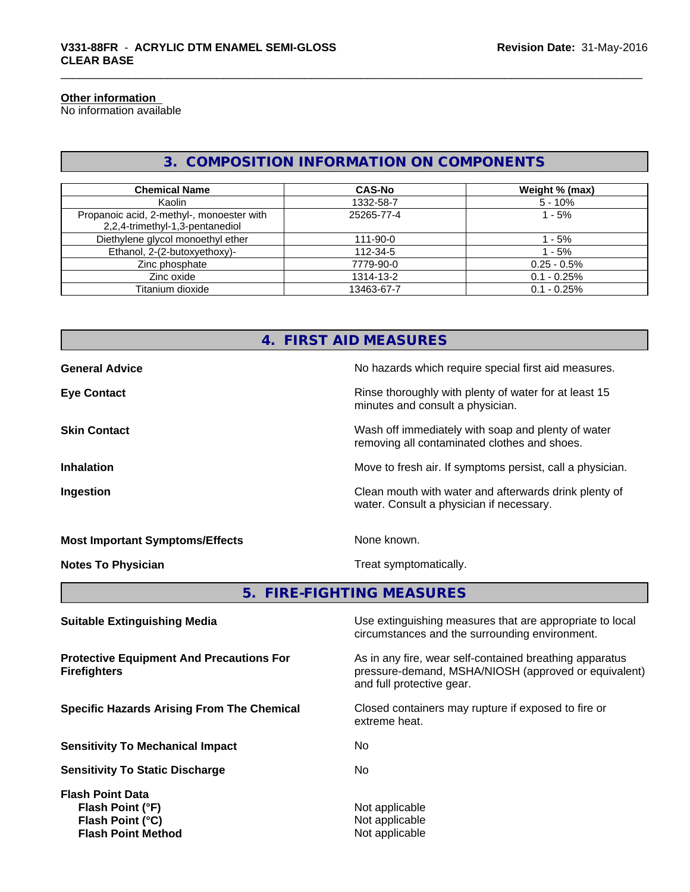#### **Other information**

No information available

## **3. COMPOSITION INFORMATION ON COMPONENTS**

| <b>Chemical Name</b>                                                         | <b>CAS-No</b>  | Weight % (max) |
|------------------------------------------------------------------------------|----------------|----------------|
| Kaolin                                                                       | 1332-58-7      | $5 - 10%$      |
| Propanoic acid, 2-methyl-, monoester with<br>2,2,4-trimethyl-1,3-pentanediol | 25265-77-4     | $1 - 5%$       |
| Diethylene glycol monoethyl ether                                            | $111 - 90 - 0$ | $-5\%$         |
| Ethanol, 2-(2-butoxyethoxy)-                                                 | 112-34-5       | $1 - 5%$       |
| Zinc phosphate                                                               | 7779-90-0      | $0.25 - 0.5\%$ |
| Zinc oxide                                                                   | 1314-13-2      | $0.1 - 0.25%$  |
| Titanium dioxide                                                             | 13463-67-7     | $0.1 - 0.25%$  |

# **4. FIRST AID MEASURES General Advice** No hazards which require special first aid measures. **Eye Contact Exercise 20 All 20 All 20 All 20 All 20 All 20 All 20 All 20 All 20 All 20 All 20 All 20 All 20 All 20 All 20 All 20 All 20 All 20 All 20 All 20 All 20 All 20 All 20 All 20 All 20 All 20 All 20 All 20 All 20** minutes and consult a physician. **Skin Contact** Same of the Contact Wash off immediately with soap and plenty of water removing all contaminated clothes and shoes. **Inhalation Inhalation Move to fresh air.** If symptoms persist, call a physician. **Ingestion Ingestion Ingestion Clean mouth with water and afterwards drink plenty of** water. Consult a physician if necessary. **Most Important Symptoms/Effects** None known.

**Notes To Physician Treat symptomatically.** 

#### **5. FIRE-FIGHTING MEASURES**

| Use extinguishing measures that are appropriate to local<br>circumstances and the surrounding environment.                                   |
|----------------------------------------------------------------------------------------------------------------------------------------------|
| As in any fire, wear self-contained breathing apparatus<br>pressure-demand, MSHA/NIOSH (approved or equivalent)<br>and full protective gear. |
| Closed containers may rupture if exposed to fire or<br>extreme heat.                                                                         |
| No.                                                                                                                                          |
| No.                                                                                                                                          |
| Not applicable<br>Not applicable<br>Not applicable                                                                                           |
|                                                                                                                                              |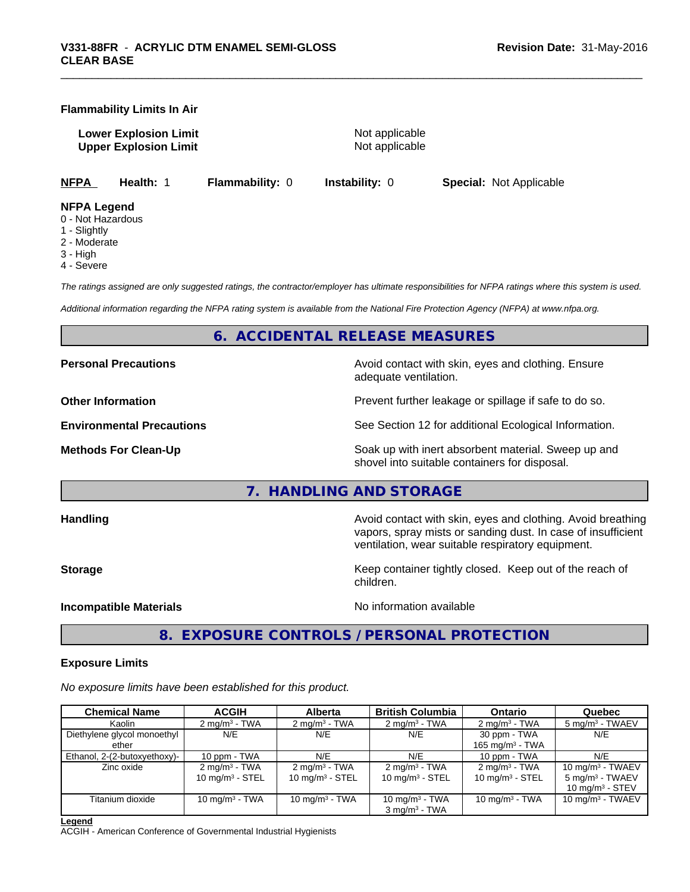#### **Flammability Limits In Air**

**Lower Explosion Limit** Not applicable **Upper Explosion Limit** Not applicable

**NFPA Health:** 1 **Flammability:** 0 **Instability:** 0 **Special:** Not Applicable

**NFPA Legend**

- 0 Not Hazardous
- 1 Slightly
- 2 Moderate
- 3 High
- 4 Severe

*The ratings assigned are only suggested ratings, the contractor/employer has ultimate responsibilities for NFPA ratings where this system is used.*

*Additional information regarding the NFPA rating system is available from the National Fire Protection Agency (NFPA) at www.nfpa.org.*

#### **6. ACCIDENTAL RELEASE MEASURES**

**Personal Precautions Precautions Personal Precautions Avoid contact with skin, eyes and clothing. Ensure** 

adequate ventilation.

**Other Information Department Information Department Intervent further leakage or spillage if safe to do so.** 

**Environmental Precautions** See Section 12 for additional Ecological Information.

**Methods For Clean-Up Example 20 All 20 All 20 All 20 All 20 All 20 Soak up with inert absorbent material. Sweep up and** shovel into suitable containers for disposal.

**7. HANDLING AND STORAGE**

**Handling Handling Avoid contact with skin, eyes and clothing. Avoid breathing Handling Avoid breathing Avoid breathing** vapors, spray mists or sanding dust. In case of insufficient ventilation, wear suitable respiratory equipment.

**Storage Keep container tightly closed. Keep out of the reach of Keep** container tightly closed. Keep out of the reach of children.

**Incompatible Materials** Noinformation available

**8. EXPOSURE CONTROLS / PERSONAL PROTECTION**

#### **Exposure Limits**

*No exposure limits have been established for this product.*

| <b>Chemical Name</b>         | <b>ACGIH</b>             | <b>Alberta</b>           | <b>British Columbia</b>     | <b>Ontario</b>           | Quebec                      |
|------------------------------|--------------------------|--------------------------|-----------------------------|--------------------------|-----------------------------|
| Kaolin                       | $2 \text{ mg/m}^3$ - TWA | $2 \text{ mg/m}^3$ - TWA | $2 \text{ mg/m}^3$ - TWA    | $2 \text{ mg/m}^3$ - TWA | 5 mg/m <sup>3</sup> - TWAEV |
| Diethylene glycol monoethyl  | N/E                      | N/E                      | N/E                         | 30 ppm - TWA             | N/E                         |
| ether                        |                          |                          |                             | 165 mg/m $3$ - TWA       |                             |
| Ethanol, 2-(2-butoxyethoxy)- | 10 ppm - TWA             | N/E                      | N/E                         | 10 ppm - TWA             | N/E                         |
| Zinc oxide                   | $2 \text{ mg/m}^3$ - TWA | $2 \text{ mg/m}^3$ - TWA | $2 \text{ mg/m}^3$ - TWA    | $2 \text{ mg/m}^3$ - TWA | 10 mg/m $3$ - TWAEV         |
|                              | 10 mg/m $3 -$ STEL       | 10 mg/m $3 -$ STEL       | 10 mg/m $3 -$ STEL          | 10 mg/m $3 -$ STEL       | $5 \text{ mg/m}^3$ - TWAEV  |
|                              |                          |                          |                             |                          | 10 $mq/m3$ - STEV           |
| Titanium dioxide             | 10 mg/m $3$ - TWA        | 10 mg/m $3$ - TWA        | 10 mg/m $3$ - TWA           | 10 mg/m $3$ - TWA        | 10 mg/m $3$ - TWAEV         |
|                              |                          |                          | $3$ mg/m <sup>3</sup> - TWA |                          |                             |

**Legend**

ACGIH - American Conference of Governmental Industrial Hygienists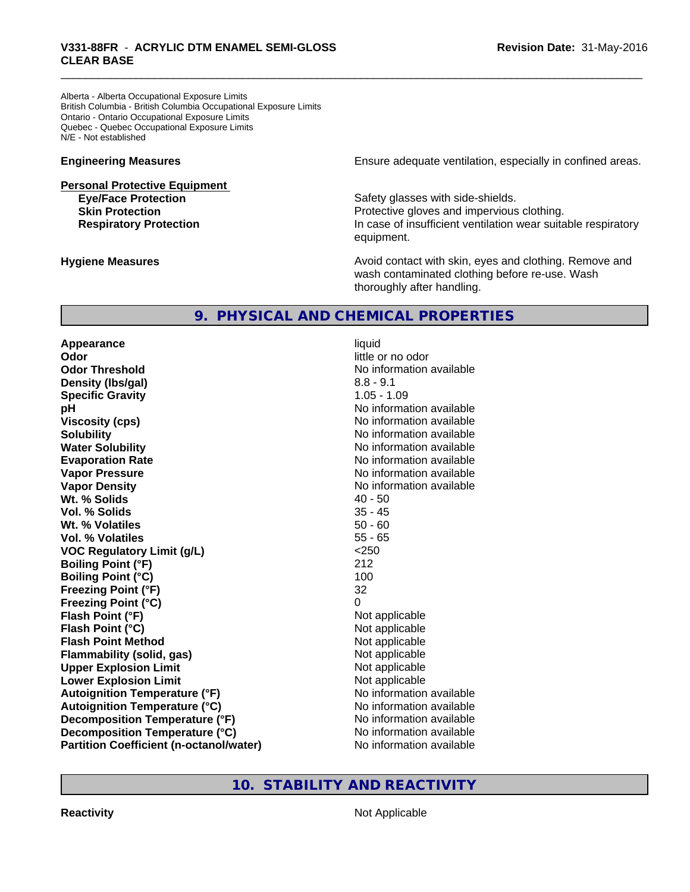Alberta - Alberta Occupational Exposure Limits British Columbia - British Columbia Occupational Exposure Limits Ontario - Ontario Occupational Exposure Limits Quebec - Quebec Occupational Exposure Limits N/E - Not established

# **Personal Protective Equipment**

**Engineering Measures Ensure** Ensure adequate ventilation, especially in confined areas.

**Eye/Face Protection Safety glasses with side-shields. Skin Protection Protection Protective gloves and impervious clothing. Respiratory Protection In case of insufficient ventilation wear suitable respiratory** equipment.

**Hygiene Measures Avoid contact with skin, eyes and clothing. Remove and Avoid contact with skin, eyes and clothing. Remove and Avoid contact with skin, eyes and clothing. Remove and** wash contaminated clothing before re-use. Wash thoroughly after handling.

### **9. PHYSICAL AND CHEMICAL PROPERTIES**

**Appearance** liquid **Odor** little or no odor **Odor Threshold** No information available **Density (lbs/gal)** 8.8 - 9.1 **Specific Gravity** 1.05 - 1.09 **pH pH**  $\blacksquare$ **Viscosity (cps)** No information available **Solubility Note 2008 Note 2008 Note 2008 Note 2008 Note 2008 Note 2008 Note 2008 Note 2008 Note 2008 Note 2008 Note 2008 Note 2008 Note 2008 Note 2008 Note 2008 Note 2008 Note 2008 Note Water Solubility Water Solubility No information available Evaporation Rate No information available No information available Vapor Pressure** No information available in the North American Monte available in the North American available **Vapor Density No information available No information available Wt. % Solids** 40 - 50 **Vol. % Solids** 35 - 45<br> **Wt. % Volatiles** 35 - 45 **Wt. % Volatiles Vol. % Volatiles** 55 - 65 **VOC Regulatory Limit (g/L)** <250 **Boiling Point (°F)** 212 **Boiling Point (°C)** 100 **Freezing Point (°F)** 32 **Freezing Point (°C)** 0 **Flash Point (°F)** Not applicable **Flash Point (°C)** Not applicable **Flash Point Method** Not applicable **Flammability (solid, gas)** Not applicable **Upper Explosion Limit** Not applicable **Lower Explosion Limit Contract Accord Accord Accord Accord Accord Accord Accord Accord Accord Accord Accord Accord Accord Accord Accord Accord Accord Accord Accord Accord Accord Accord Accord Accord Accord Accord Accord Autoignition Temperature (°F)**<br> **Autoignition Temperature (°C)** No information available **Autoignition Temperature (°C) Decomposition Temperature (°F)** No information available **Decomposition Temperature (°C)** No information available **Partition Coefficient (n-octanol/water) No information available** 

#### **10. STABILITY AND REACTIVITY**

**Reactivity** Not Applicable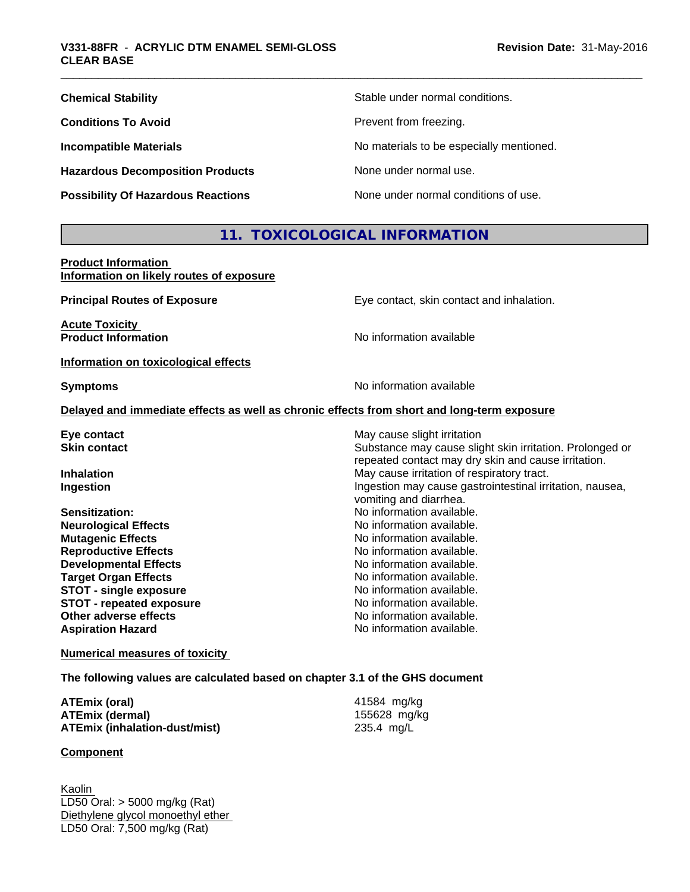| <b>Chemical Stability</b>                 | Stable under normal conditions.          |
|-------------------------------------------|------------------------------------------|
| <b>Conditions To Avoid</b>                | Prevent from freezing.                   |
| <b>Incompatible Materials</b>             | No materials to be especially mentioned. |
| <b>Hazardous Decomposition Products</b>   | None under normal use.                   |
| <b>Possibility Of Hazardous Reactions</b> | None under normal conditions of use.     |

## **11. TOXICOLOGICAL INFORMATION**

**Product Information Information on likely routes of exposure**

| <b>Principal Routes of Exposure</b>  | Eye contact, skin contact and inhalation.                                                  |
|--------------------------------------|--------------------------------------------------------------------------------------------|
| <b>Acute Toxicity</b>                |                                                                                            |
| <b>Product Information</b>           | No information available                                                                   |
| Information on toxicological effects |                                                                                            |
| <b>Symptoms</b>                      | No information available                                                                   |
|                                      | Delayed and immediate effects as well as chronic effects from short and long-term exposure |
| Eye contact                          | May cause slight irritation                                                                |
| <b>Skin contact</b>                  | Substance may cause slight skin irritation. Prolonged or                                   |
|                                      | repeated contact may dry skin and cause irritation.                                        |
| <b>Inhalation</b>                    | May cause irritation of respiratory tract.                                                 |
| Ingestion                            | Ingestion may cause gastrointestinal irritation, nausea,                                   |
|                                      | vomiting and diarrhea.                                                                     |
| Sensitization:                       | No information available.                                                                  |
| <b>Neurological Effects</b>          | No information available.                                                                  |
| <b>Mutagenic Effects</b>             | No information available.                                                                  |
| <b>Reproductive Effects</b>          | No information available.                                                                  |
| <b>Developmental Effects</b>         | No information available.                                                                  |
| <b>Target Organ Effects</b>          | No information available.                                                                  |
| <b>STOT - single exposure</b>        | No information available.                                                                  |
| <b>STOT - repeated exposure</b>      | No information available.                                                                  |
| Other adverse effects                | No information available.                                                                  |
| <b>Aspiration Hazard</b>             | No information available.                                                                  |
|                                      |                                                                                            |

**Numerical measures of toxicity**

**The following values are calculated based on chapter 3.1 of the GHS document**

| ATEmix (oral)                 | 41584 mg/kg  |
|-------------------------------|--------------|
| ATEmix (dermal)               | 155628 mg/kg |
| ATEmix (inhalation-dust/mist) | 235.4 mg/L   |

#### **Component**

Kaolin LD50 Oral: > 5000 mg/kg (Rat) Diethylene glycol monoethyl ether LD50 Oral: 7,500 mg/kg (Rat)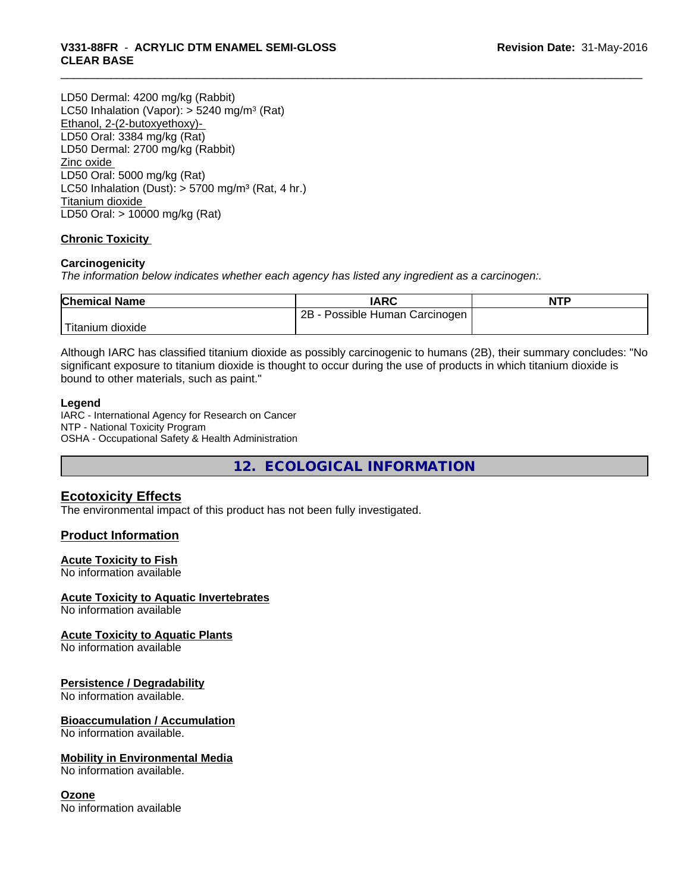LD50 Dermal: 4200 mg/kg (Rabbit) LC50 Inhalation (Vapor): > 5240 mg/m<sup>3</sup> (Rat) Ethanol, 2-(2-butoxyethoxy)- LD50 Oral: 3384 mg/kg (Rat) LD50 Dermal: 2700 mg/kg (Rabbit) Zinc oxide LD50 Oral: 5000 mg/kg (Rat) LC50 Inhalation (Dust):  $> 5700$  mg/m<sup>3</sup> (Rat, 4 hr.) Titanium dioxide LD50 Oral: > 10000 mg/kg (Rat)

#### **Chronic Toxicity**

#### **Carcinogenicity**

*The information below indicateswhether each agency has listed any ingredient as a carcinogen:.*

| <b>Chemical Name</b> | <b>IARC</b>                     | <b>NTP</b> |
|----------------------|---------------------------------|------------|
|                      | 2B<br>Possible Human Carcinogen |            |
| Titanium dioxide     |                                 |            |

Although IARC has classified titanium dioxide as possibly carcinogenic to humans (2B), their summary concludes: "No significant exposure to titanium dioxide is thought to occur during the use of products in which titanium dioxide is bound to other materials, such as paint."

#### **Legend**

IARC - International Agency for Research on Cancer NTP - National Toxicity Program OSHA - Occupational Safety & Health Administration

**12. ECOLOGICAL INFORMATION**

#### **Ecotoxicity Effects**

The environmental impact of this product has not been fully investigated.

#### **Product Information**

#### **Acute Toxicity to Fish**

No information available

#### **Acute Toxicity to Aquatic Invertebrates**

No information available

#### **Acute Toxicity to Aquatic Plants**

No information available

#### **Persistence / Degradability**

No information available.

#### **Bioaccumulation / Accumulation**

No information available.

#### **Mobility in Environmental Media**

No information available.

#### **Ozone**

No information available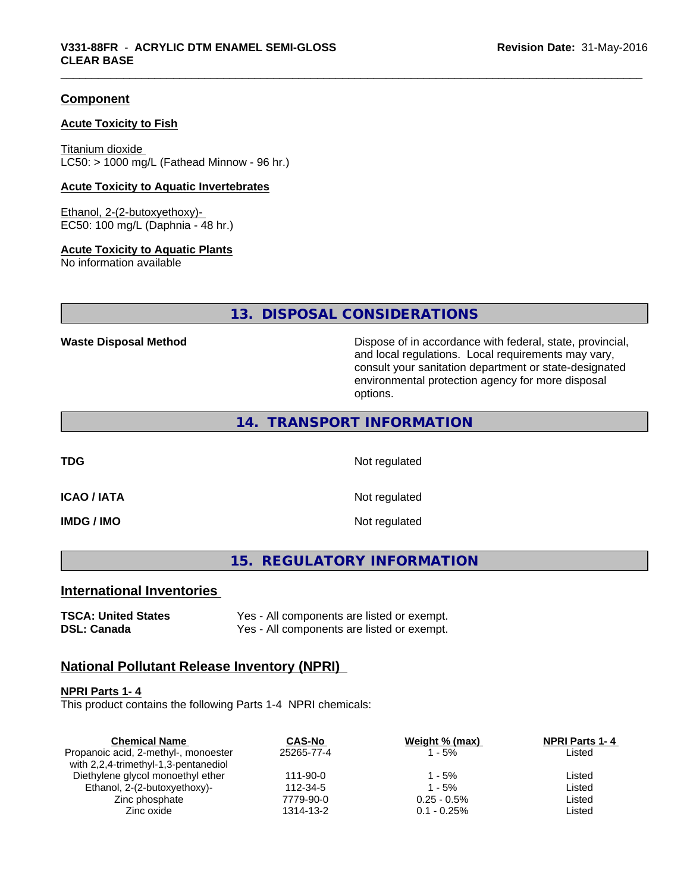#### **Component**

#### **Acute Toxicity to Fish**

Titanium dioxide  $LC50:$  > 1000 mg/L (Fathead Minnow - 96 hr.)

#### **Acute Toxicity to Aquatic Invertebrates**

Ethanol, 2-(2-butoxyethoxy)- EC50: 100 mg/L (Daphnia - 48 hr.)

#### **Acute Toxicity to Aquatic Plants**

No information available

#### **13. DISPOSAL CONSIDERATIONS**

**Waste Disposal Method Dispose of in accordance with federal, state, provincial,** and local regulations. Local requirements may vary, consult your sanitation department or state-designated environmental protection agency for more disposal options.

#### **14. TRANSPORT INFORMATION**

**TDG** Not regulated

**ICAO / IATA** Not regulated

**IMDG / IMO** Not regulated

**15. REGULATORY INFORMATION**

#### **International Inventories**

**TSCA: United States** Yes - All components are listed or exempt. **DSL: Canada** Yes - All components are listed or exempt.

#### **National Pollutant Release Inventory (NPRI)**

#### **NPRI Parts 1- 4**

This product contains the following Parts 1-4 NPRI chemicals:

| <b>NPRI Parts 1-4</b> |
|-----------------------|
| Listed                |
|                       |
| Listed                |
| Listed                |
| Listed                |
| Listed                |
|                       |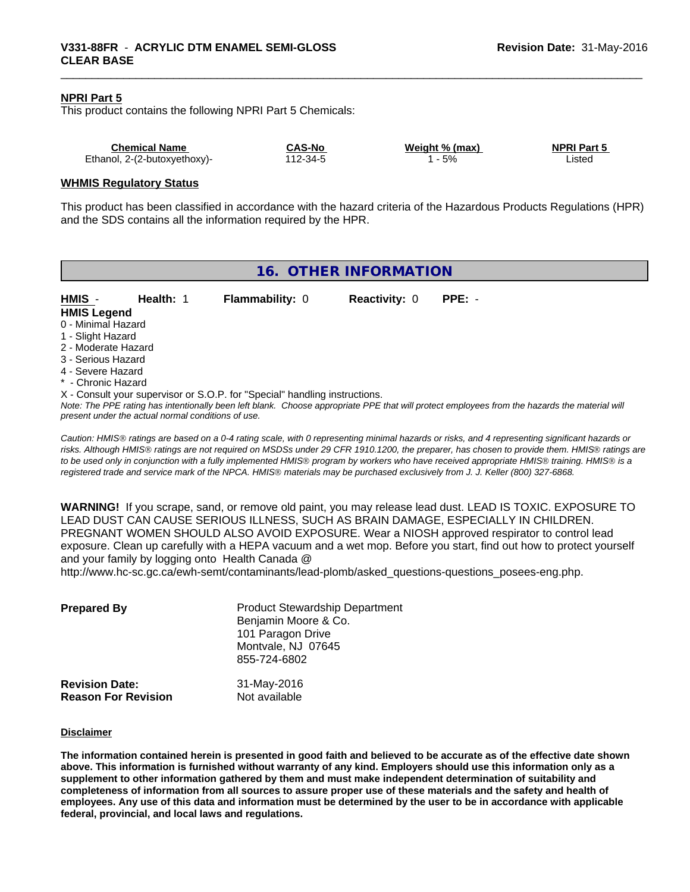#### **NPRI Part 5**

This product contains the following NPRI Part 5 Chemicals:

| <b>Chemical Name</b>         | <b>CAS-No</b> | Weight % (max) | <b>NPRI Part 5</b> |
|------------------------------|---------------|----------------|--------------------|
| Ethanol, 2-(2-butoxyethoxy)- | $12 - 34 - 5$ | 5%             | _isted             |

#### **WHMIS Regulatory Status**

This product has been classified in accordance with the hazard criteria of the Hazardous Products Regulations (HPR) and the SDS contains all the information required by the HPR.

| <b>Flammability: 0</b><br><b>Reactivity: 0</b><br>$PPE: -$<br>HMIS -<br>Health: 1<br><b>HMIS Legend</b><br>0 - Minimal Hazard<br>1 - Slight Hazard<br>2 - Moderate Hazard                                                                                                         | 16. OTHER INFORMATION |  |  |  |  |  |
|-----------------------------------------------------------------------------------------------------------------------------------------------------------------------------------------------------------------------------------------------------------------------------------|-----------------------|--|--|--|--|--|
|                                                                                                                                                                                                                                                                                   |                       |  |  |  |  |  |
|                                                                                                                                                                                                                                                                                   |                       |  |  |  |  |  |
|                                                                                                                                                                                                                                                                                   |                       |  |  |  |  |  |
| 3 - Serious Hazard<br>4 - Severe Hazard                                                                                                                                                                                                                                           |                       |  |  |  |  |  |
| * - Chronic Hazard                                                                                                                                                                                                                                                                |                       |  |  |  |  |  |
| X - Consult your supervisor or S.O.P. for "Special" handling instructions.<br>Note: The PPE rating has intentionally been left blank. Choose appropriate PPE that will protect employees from the hazards the material will<br>present under the actual normal conditions of use. |                       |  |  |  |  |  |

*Caution: HMISÒ ratings are based on a 0-4 rating scale, with 0 representing minimal hazards or risks, and 4 representing significant hazards or risks. Although HMISÒ ratings are not required on MSDSs under 29 CFR 1910.1200, the preparer, has chosen to provide them. HMISÒ ratings are to be used only in conjunction with a fully implemented HMISÒ program by workers who have received appropriate HMISÒ training. HMISÒ is a registered trade and service mark of the NPCA. HMISÒ materials may be purchased exclusively from J. J. Keller (800) 327-6868.*

**WARNING!** If you scrape, sand, or remove old paint, you may release lead dust. LEAD IS TOXIC. EXPOSURE TO LEAD DUST CAN CAUSE SERIOUS ILLNESS, SUCH AS BRAIN DAMAGE, ESPECIALLY IN CHILDREN. PREGNANT WOMEN SHOULD ALSO AVOID EXPOSURE. Wear a NIOSH approved respirator to control lead exposure. Clean up carefully with a HEPA vacuum and a wet mop. Before you start, find out how to protect yourself and your family by logging onto Health Canada @

http://www.hc-sc.gc.ca/ewh-semt/contaminants/lead-plomb/asked\_questions-questions\_posees-eng.php.

| <b>Prepared By</b>                                  | <b>Product Stewardship Department</b><br>Benjamin Moore & Co.<br>101 Paragon Drive<br>Montvale, NJ 07645<br>855-724-6802 |  |
|-----------------------------------------------------|--------------------------------------------------------------------------------------------------------------------------|--|
| <b>Revision Date:</b><br><b>Reason For Revision</b> | 31-May-2016<br>Not available                                                                                             |  |

#### **Disclaimer**

The information contained herein is presented in good faith and believed to be accurate as of the effective date shown above. This information is furnished without warranty of any kind. Employers should use this information only as a **supplement to other information gathered by them and must make independent determination of suitability and** completeness of information from all sources to assure proper use of these materials and the safety and health of employees. Any use of this data and information must be determined by the user to be in accordance with applicable **federal, provincial, and local laws and regulations.**